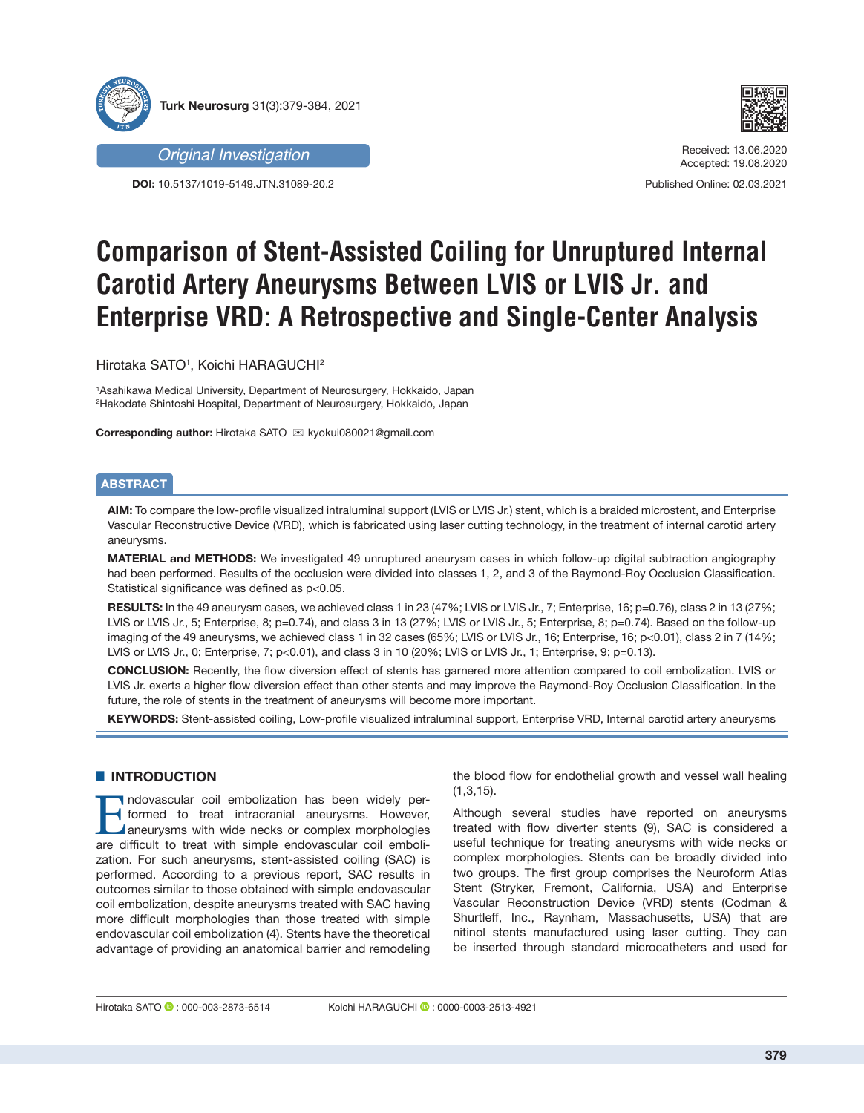



*Original Investigation*

**DOI:** 10.5137/1019-5149.JTN.31089-20.2

Received: 13.06.2020 Accepted: 19.08.2020

Published Online: 02.03.2021

# **Comparison of Stent-Assisted Coiling for Unruptured Internal Carotid Artery Aneurysms Between LVIS or LVIS Jr. and Enterprise VRD: A Retrospective and Single-Center Analysis**

Hirotaka SATO1 , Koichi HARAGUCHI2

1 Asahikawa Medical University, Department of Neurosurgery, Hokkaido, Japan 2 Hakodate Shintoshi Hospital, Department of Neurosurgery, Hokkaido, Japan

**Corresponding author: Hirotaka SATO**  $\boxtimes$  **kyokui080021@gmail.com** 

# **ABSTRACT**

**AIM:** To compare the low-profile visualized intraluminal support (LVIS or LVIS Jr.) stent, which is a braided microstent, and Enterprise Vascular Reconstructive Device (VRD), which is fabricated using laser cutting technology, in the treatment of internal carotid artery aneurysms.

**MATERIAL and METHODS:** We investigated 49 unruptured aneurysm cases in which follow-up digital subtraction angiography had been performed. Results of the occlusion were divided into classes 1, 2, and 3 of the Raymond-Roy Occlusion Classification. Statistical significance was defined as  $p<0.05$ .

**RESULTS:** In the 49 aneurysm cases, we achieved class 1 in 23 (47%; LVIS or LVIS Jr., 7; Enterprise, 16; p=0.76), class 2 in 13 (27%; LVIS or LVIS Jr., 5; Enterprise, 8; p=0.74), and class 3 in 13 (27%; LVIS or LVIS Jr., 5; Enterprise, 8; p=0.74). Based on the follow-up imaging of the 49 aneurysms, we achieved class 1 in 32 cases (65%; LVIS or LVIS Jr., 16; Enterprise, 16; p<0.01), class 2 in 7 (14%; LVIS or LVIS Jr., 0; Enterprise, 7; p<0.01), and class 3 in 10 (20%; LVIS or LVIS Jr., 1; Enterprise, 9; p=0.13).

**CONCLUSION:** Recently, the flow diversion effect of stents has garnered more attention compared to coil embolization. LVIS or LVIS Jr. exerts a higher flow diversion effect than other stents and may improve the Raymond-Roy Occlusion Classification. In the future, the role of stents in the treatment of aneurysms will become more important.

**KEYWORDS:** Stent-assisted coiling, Low-profile visualized intraluminal support, Enterprise VRD, Internal carotid artery aneurysms

# **E INTRODUCTION**

Indovascular coil embolization has been widely per-<br>formed to treat intracranial aneurysms. However,<br>aneurysms with wide necks or complex morphologies<br>are difficult to treat with simple endovascular coil emboliformed to treat intracranial aneurysms. However, **A** aneurysms with wide necks or complex morphologies are difficult to treat with simple endovascular coil embolization. For such aneurysms, stent-assisted coiling (SAC) is performed. According to a previous report, SAC results in outcomes similar to those obtained with simple endovascular coil embolization, despite aneurysms treated with SAC having more difficult morphologies than those treated with simple endovascular coil embolization (4). Stents have the theoretical advantage of providing an anatomical barrier and remodeling

the blood flow for endothelial growth and vessel wall healing (1,3,15).

Although several studies have reported on aneurysms treated with flow diverter stents (9), SAC is considered a useful technique for treating aneurysms with wide necks or complex morphologies. Stents can be broadly divided into two groups. The first group comprises the Neuroform Atlas Stent (Stryker, Fremont, California, USA) and Enterprise Vascular Reconstruction Device (VRD) stents (Codman & Shurtleff, Inc., Raynham, Massachusetts, USA) that are nitinol stents manufactured using laser cutting. They can be inserted through standard microcatheters and used for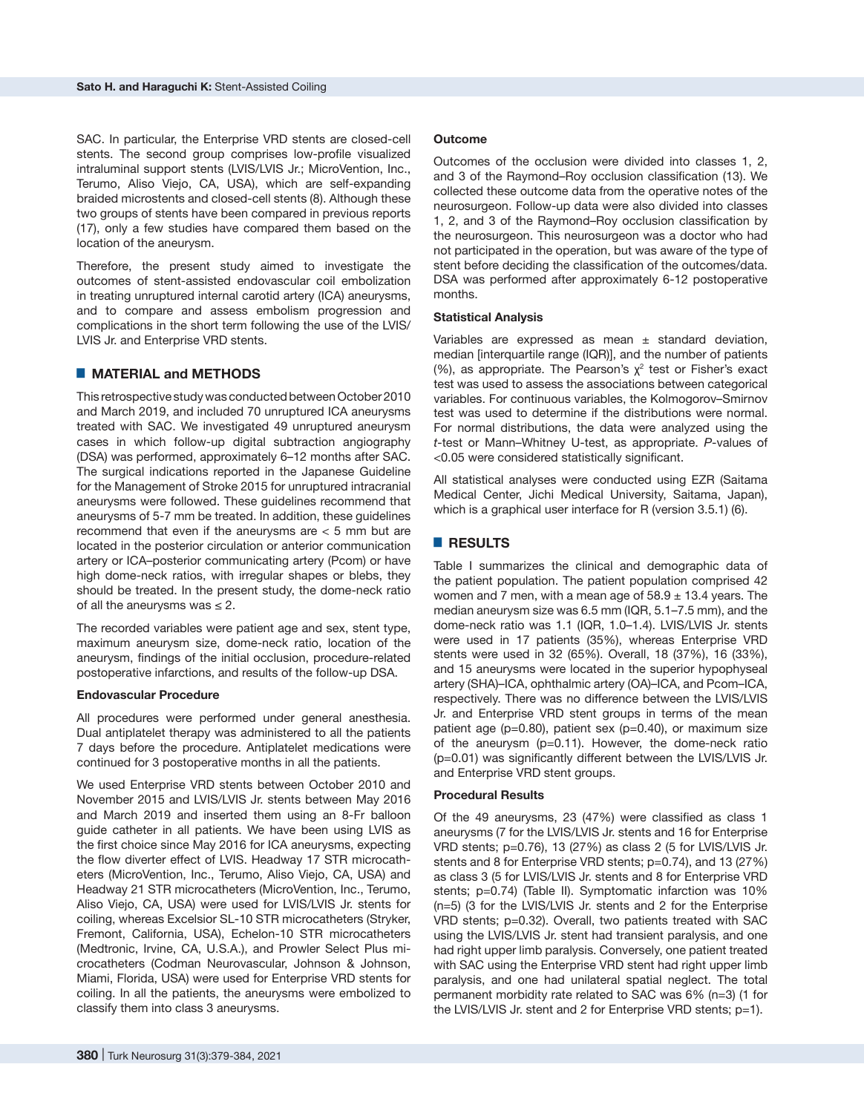SAC. In particular, the Enterprise VRD stents are closed-cell stents. The second group comprises low-profile visualized intraluminal support stents (LVIS/LVIS Jr.; MicroVention, Inc., Terumo, Aliso Viejo, CA, USA), which are self-expanding braided microstents and closed-cell stents (8). Although these two groups of stents have been compared in previous reports (17), only a few studies have compared them based on the location of the aneurysm.

Therefore, the present study aimed to investigate the outcomes of stent-assisted endovascular coil embolization in treating unruptured internal carotid artery (ICA) aneurysms, and to compare and assess embolism progression and complications in the short term following the use of the LVIS/ LVIS Jr. and Enterprise VRD stents.

## █ **MATERIAL and METHODS**

This retrospective study was conducted between October 2010 and March 2019, and included 70 unruptured ICA aneurysms treated with SAC. We investigated 49 unruptured aneurysm cases in which follow-up digital subtraction angiography (DSA) was performed, approximately 6–12 months after SAC. The surgical indications reported in the Japanese Guideline for the Management of Stroke 2015 for unruptured intracranial aneurysms were followed. These guidelines recommend that aneurysms of 5-7 mm be treated. In addition, these guidelines recommend that even if the aneurysms are < 5 mm but are located in the posterior circulation or anterior communication artery or ICA–posterior communicating artery (Pcom) or have high dome-neck ratios, with irregular shapes or blebs, they should be treated. In the present study, the dome-neck ratio of all the aneurysms was  $\leq 2$ .

The recorded variables were patient age and sex, stent type, maximum aneurysm size, dome-neck ratio, location of the aneurysm, findings of the initial occlusion, procedure-related postoperative infarctions, and results of the follow-up DSA.

## **Endovascular Procedure**

All procedures were performed under general anesthesia. Dual antiplatelet therapy was administered to all the patients 7 days before the procedure. Antiplatelet medications were continued for 3 postoperative months in all the patients.

We used Enterprise VRD stents between October 2010 and November 2015 and LVIS/LVIS Jr. stents between May 2016 and March 2019 and inserted them using an 8-Fr balloon guide catheter in all patients. We have been using LVIS as the first choice since May 2016 for ICA aneurysms, expecting the flow diverter effect of LVIS. Headway 17 STR microcatheters (MicroVention, Inc., Terumo, Aliso Viejo, CA, USA) and Headway 21 STR microcatheters (MicroVention, Inc., Terumo, Aliso Viejo, CA, USA) were used for LVIS/LVIS Jr. stents for coiling, whereas Excelsior SL-10 STR microcatheters (Stryker, Fremont, California, USA), Echelon-10 STR microcatheters (Medtronic, Irvine, CA, U.S.A.), and Prowler Select Plus microcatheters (Codman Neurovascular, Johnson & Johnson, Miami, Florida, USA) were used for Enterprise VRD stents for coiling. In all the patients, the aneurysms were embolized to classify them into class 3 aneurysms.

#### **Outcome**

Outcomes of the occlusion were divided into classes 1, 2, and 3 of the Raymond–Roy occlusion classification (13). We collected these outcome data from the operative notes of the neurosurgeon. Follow-up data were also divided into classes 1, 2, and 3 of the Raymond–Roy occlusion classification by the neurosurgeon. This neurosurgeon was a doctor who had not participated in the operation, but was aware of the type of stent before deciding the classification of the outcomes/data. DSA was performed after approximately 6-12 postoperative months.

### **Statistical Analysis**

Variables are expressed as mean  $\pm$  standard deviation, median [interquartile range (IQR)], and the number of patients (%), as appropriate. The Pearson's  $χ²$  test or Fisher's exact test was used to assess the associations between categorical variables. For continuous variables, the Kolmogorov–Smirnov test was used to determine if the distributions were normal. For normal distributions, the data were analyzed using the *t*-test or Mann–Whitney U-test, as appropriate. *P*-values of <0.05 were considered statistically significant.

All statistical analyses were conducted using EZR (Saitama Medical Center, Jichi Medical University, Saitama, Japan), which is a graphical user interface for R (version 3.5.1) (6).

# █ **RESULTS**

Table I summarizes the clinical and demographic data of the patient population. The patient population comprised 42 women and 7 men, with a mean age of  $58.9 \pm 13.4$  years. The median aneurysm size was 6.5 mm (IQR, 5.1–7.5 mm), and the dome-neck ratio was 1.1 (IQR, 1.0–1.4). LVIS/LVIS Jr. stents were used in 17 patients (35%), whereas Enterprise VRD stents were used in 32 (65%). Overall, 18 (37%), 16 (33%), and 15 aneurysms were located in the superior hypophyseal artery (SHA)–ICA, ophthalmic artery (OA)–ICA, and Pcom–ICA, respectively. There was no difference between the LVIS/LVIS Jr. and Enterprise VRD stent groups in terms of the mean patient age (p=0.80), patient sex (p=0.40), or maximum size of the aneurysm (p=0.11). However, the dome-neck ratio (p=0.01) was significantly different between the LVIS/LVIS Jr. and Enterprise VRD stent groups.

#### **Procedural Results**

Of the 49 aneurysms, 23 (47%) were classified as class 1 aneurysms (7 for the LVIS/LVIS Jr. stents and 16 for Enterprise VRD stents; p=0.76), 13 (27%) as class 2 (5 for LVIS/LVIS Jr. stents and 8 for Enterprise VRD stents; p=0.74), and 13 (27%) as class 3 (5 for LVIS/LVIS Jr. stents and 8 for Enterprise VRD stents; p=0.74) (Table II). Symptomatic infarction was 10% (n=5) (3 for the LVIS/LVIS Jr. stents and 2 for the Enterprise VRD stents; p=0.32). Overall, two patients treated with SAC using the LVIS/LVIS Jr. stent had transient paralysis, and one had right upper limb paralysis. Conversely, one patient treated with SAC using the Enterprise VRD stent had right upper limb paralysis, and one had unilateral spatial neglect. The total permanent morbidity rate related to SAC was 6% (n=3) (1 for the LVIS/LVIS Jr. stent and 2 for Enterprise VRD stents; p=1).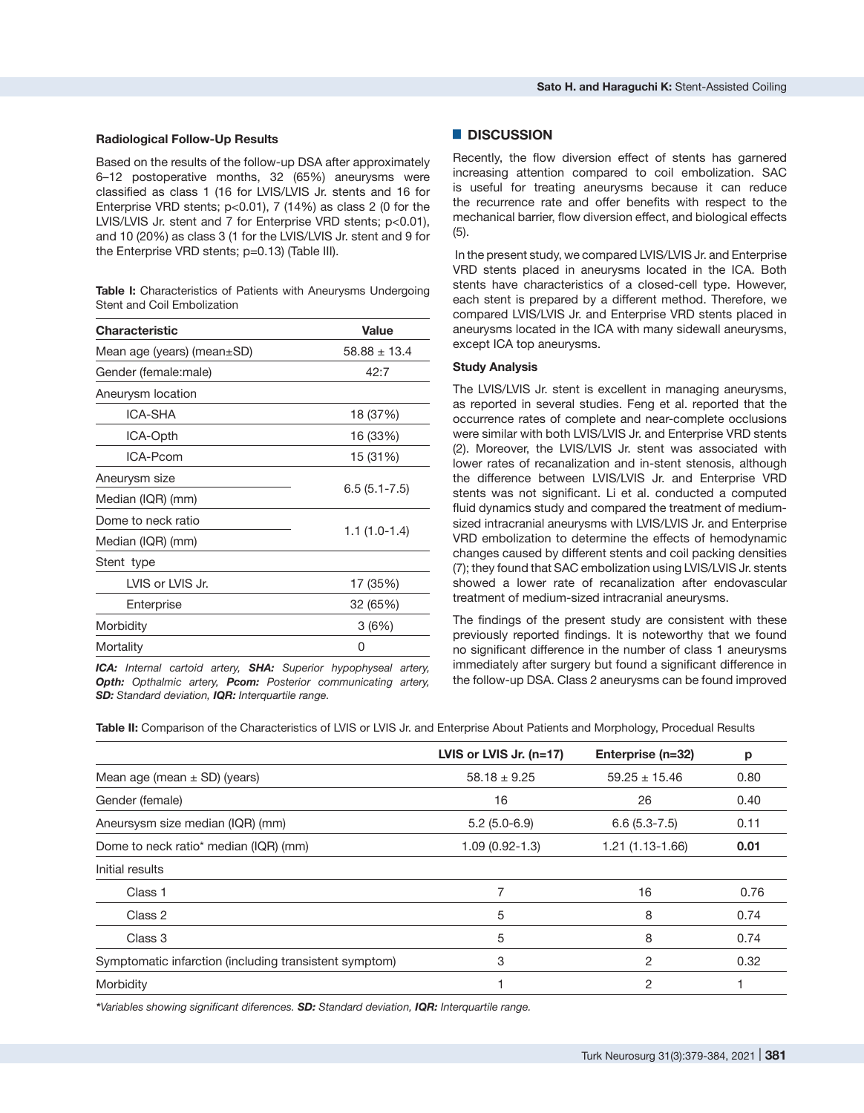### **Radiological Follow-Up Results**

Based on the results of the follow-up DSA after approximately 6–12 postoperative months, 32 (65%) aneurysms were classified as class 1 (16 for LVIS/LVIS Jr. stents and 16 for Enterprise VRD stents;  $p<0.01$ ), 7 (14%) as class 2 (0 for the LVIS/LVIS Jr. stent and 7 for Enterprise VRD stents; p<0.01), and 10 (20%) as class 3 (1 for the LVIS/LVIS Jr. stent and 9 for the Enterprise VRD stents; p=0.13) (Table III).

**Table I:** Characteristics of Patients with Aneurysms Undergoing Stent and Coil Embolization

| <b>Characteristic</b>            | <b>Value</b>     |  |
|----------------------------------|------------------|--|
| Mean age (years) (mean $\pm$ SD) | $58.88 \pm 13.4$ |  |
| Gender (female:male)             | 42:7             |  |
| Aneurysm location                |                  |  |
| ICA-SHA                          | 18 (37%)         |  |
| ICA-Opth                         | 16 (33%)         |  |
| ICA-Pcom                         | 15 (31%)         |  |
| Aneurysm size                    | $6.5(5.1 - 7.5)$ |  |
| Median (IQR) (mm)                |                  |  |
| Dome to neck ratio               | $1.1(1.0-1.4)$   |  |
| Median (IQR) (mm)                |                  |  |
| Stent type                       |                  |  |
| LVIS or LVIS Jr.                 | 17 (35%)         |  |
| Enterprise                       | 32 (65%)         |  |
| Morbidity                        | 3(6%)            |  |
| Mortality                        | Ω                |  |

*ICA: Internal cartoid artery, SHA: Superior hypophyseal artery, Opth: Opthalmic artery, Pcom: Posterior communicating artery, SD: Standard deviation, IQR: Interquartile range.*

## █ **DISCUSSION**

Recently, the flow diversion effect of stents has garnered increasing attention compared to coil embolization. SAC is useful for treating aneurysms because it can reduce the recurrence rate and offer benefits with respect to the mechanical barrier, flow diversion effect, and biological effects (5).

 In the present study, we compared LVIS/LVIS Jr. and Enterprise VRD stents placed in aneurysms located in the ICA. Both stents have characteristics of a closed-cell type. However, each stent is prepared by a different method. Therefore, we compared LVIS/LVIS Jr. and Enterprise VRD stents placed in aneurysms located in the ICA with many sidewall aneurysms, except ICA top aneurysms.

## **Study Analysis**

The LVIS/LVIS Jr. stent is excellent in managing aneurysms, as reported in several studies. Feng et al. reported that the occurrence rates of complete and near-complete occlusions were similar with both LVIS/LVIS Jr. and Enterprise VRD stents (2). Moreover, the LVIS/LVIS Jr. stent was associated with lower rates of recanalization and in-stent stenosis, although the difference between LVIS/LVIS Jr. and Enterprise VRD stents was not significant. Li et al. conducted a computed fluid dynamics study and compared the treatment of mediumsized intracranial aneurysms with LVIS/LVIS Jr. and Enterprise VRD embolization to determine the effects of hemodynamic changes caused by different stents and coil packing densities (7); they found that SAC embolization using LVIS/LVIS Jr. stents showed a lower rate of recanalization after endovascular treatment of medium-sized intracranial aneurysms.

The findings of the present study are consistent with these previously reported findings. It is noteworthy that we found no significant difference in the number of class 1 aneurysms immediately after surgery but found a significant difference in the follow-up DSA. Class 2 aneurysms can be found improved

**Table II:** Comparison of the Characteristics of LVIS or LVIS Jr. and Enterprise About Patients and Morphology, Procedual Results

|                                                        | LVIS or LVIS Jr. $(n=17)$ | Enterprise (n=32) | p    |
|--------------------------------------------------------|---------------------------|-------------------|------|
| Mean age (mean $\pm$ SD) (years)                       | $58.18 \pm 9.25$          | $59.25 \pm 15.46$ | 0.80 |
| Gender (female)                                        | 16                        | 26                | 0.40 |
| Aneursysm size median (IQR) (mm)                       | $5.2(5.0-6.9)$            | $6.6(5.3-7.5)$    | 0.11 |
| Dome to neck ratio* median (IQR) (mm)                  | $1.09(0.92 - 1.3)$        | 1.21 (1.13-1.66)  | 0.01 |
| Initial results                                        |                           |                   |      |
| Class 1                                                |                           | 16                | 0.76 |
| Class 2                                                | 5                         | 8                 | 0.74 |
| Class 3                                                | 5                         | 8                 | 0.74 |
| Symptomatic infarction (including transistent symptom) | 3                         | 2                 | 0.32 |
| Morbidity                                              |                           | 2                 |      |

*\*Variables showing significant diferences. SD: Standard deviation, IQR: Interquartile range.*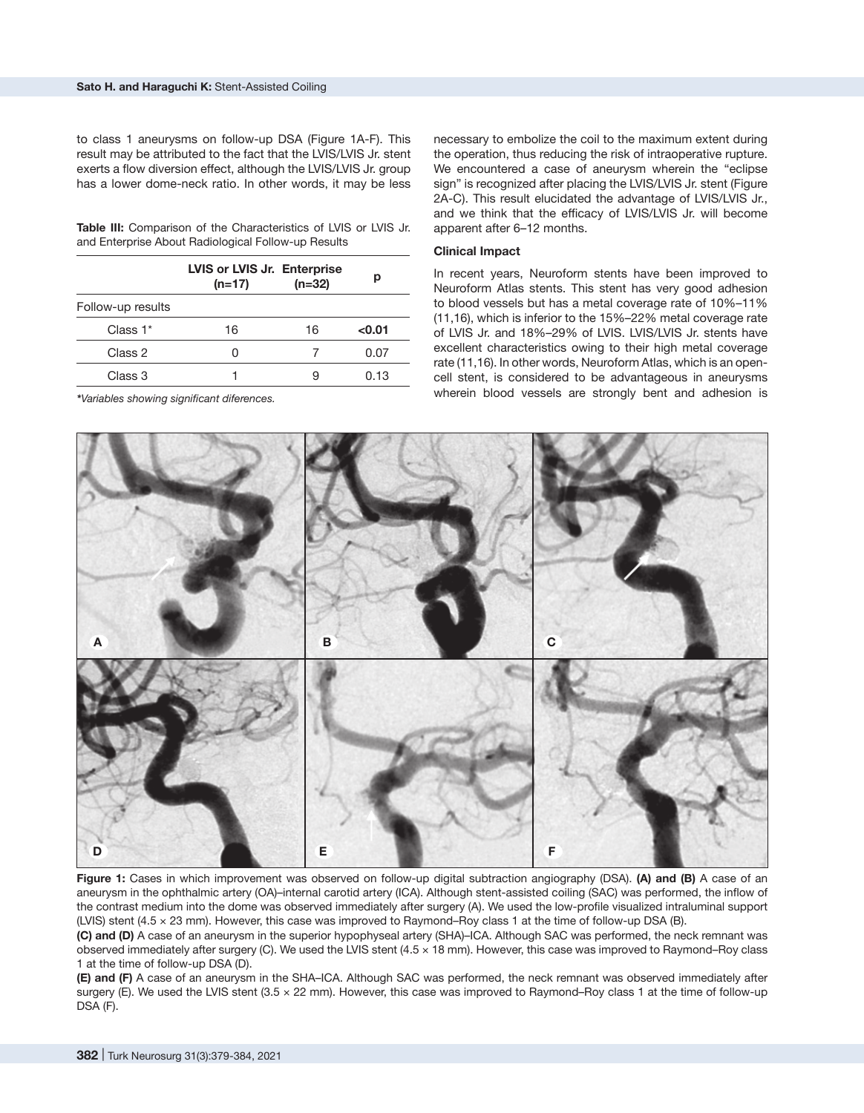to class 1 aneurysms on follow-up DSA (Figure 1A-F). This result may be attributed to the fact that the LVIS/LVIS Jr. stent exerts a flow diversion effect, although the LVIS/LVIS Jr. group has a lower dome-neck ratio. In other words, it may be less

**Table III:** Comparison of the Characteristics of LVIS or LVIS Jr. and Enterprise About Radiological Follow-up Results

|                   | LVIS or LVIS Jr. Enterprise<br>$(n=17)$ | $(n=32)$ | р      |
|-------------------|-----------------------------------------|----------|--------|
| Follow-up results |                                         |          |        |
| Class 1*          | 16                                      | 16       | < 0.01 |
| Class 2           |                                         |          | 0.07   |
| Class 3           |                                         |          | 0.13   |

*\*Variables showing significant diferences.*

necessary to embolize the coil to the maximum extent during the operation, thus reducing the risk of intraoperative rupture. We encountered a case of aneurysm wherein the "eclipse sign" is recognized after placing the LVIS/LVIS Jr. stent (Figure 2A-C). This result elucidated the advantage of LVIS/LVIS Jr., and we think that the efficacy of LVIS/LVIS Jr. will become apparent after 6–12 months.

#### **Clinical Impact**

In recent years, Neuroform stents have been improved to Neuroform Atlas stents. This stent has very good adhesion to blood vessels but has a metal coverage rate of 10%–11% (11,16), which is inferior to the 15%–22% metal coverage rate of LVIS Jr. and 18%–29% of LVIS. LVIS/LVIS Jr. stents have excellent characteristics owing to their high metal coverage rate (11,16). In other words, Neuroform Atlas, which is an opencell stent, is considered to be advantageous in aneurysms wherein blood vessels are strongly bent and adhesion is



**Figure 1:** Cases in which improvement was observed on follow-up digital subtraction angiography (DSA). **(A) and (B)** A case of an aneurysm in the ophthalmic artery (OA)–internal carotid artery (ICA). Although stent-assisted coiling (SAC) was performed, the inflow of the contrast medium into the dome was observed immediately after surgery (A). We used the low-profile visualized intraluminal support (LVIS) stent (4.5 × 23 mm). However, this case was improved to Raymond–Roy class 1 at the time of follow-up DSA (B).

**(C) and (D)** A case of an aneurysm in the superior hypophyseal artery (SHA)–ICA. Although SAC was performed, the neck remnant was observed immediately after surgery (C). We used the LVIS stent (4.5 × 18 mm). However, this case was improved to Raymond–Roy class 1 at the time of follow-up DSA (D).

**(E) and (F)** A case of an aneurysm in the SHA–ICA. Although SAC was performed, the neck remnant was observed immediately after surgery (E). We used the LVIS stent (3.5 x 22 mm). However, this case was improved to Raymond–Roy class 1 at the time of follow-up DSA (F).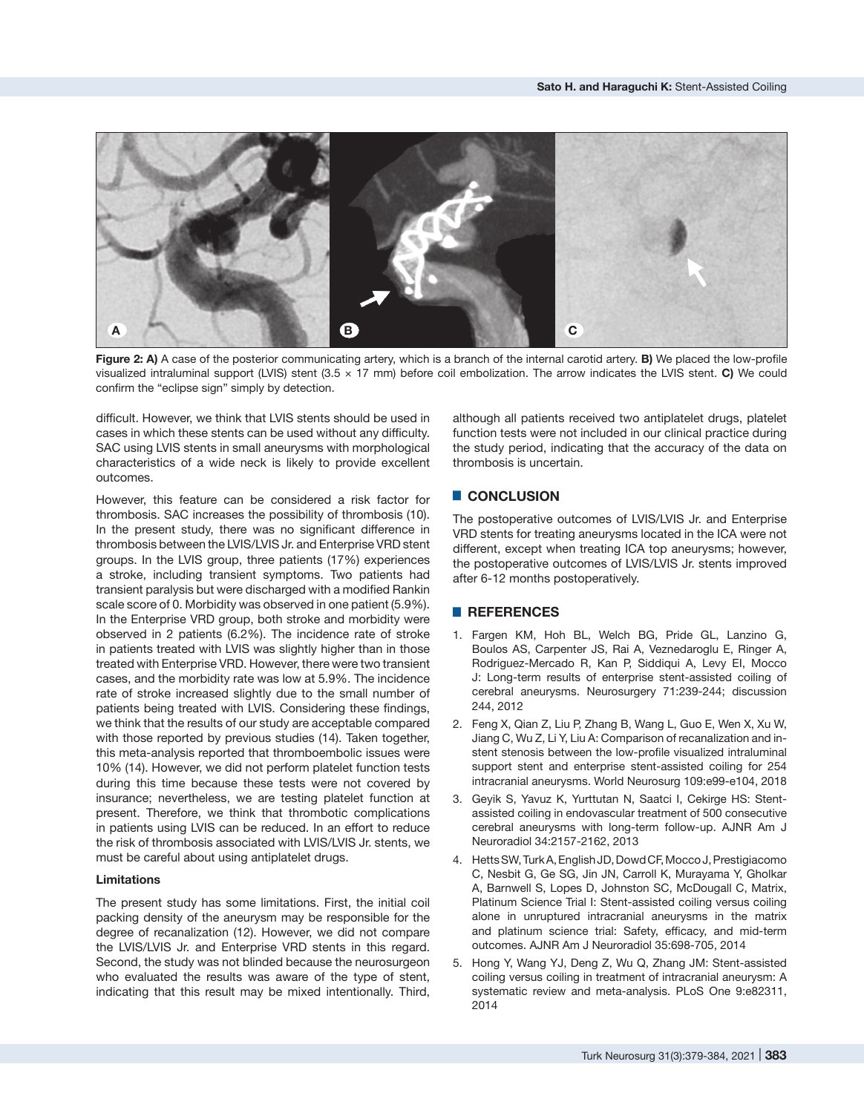

**Figure 2: A)** A case of the posterior communicating artery, which is a branch of the internal carotid artery. **B)** We placed the low-profile visualized intraluminal support (LVIS) stent (3.5 × 17 mm) before coil embolization. The arrow indicates the LVIS stent. **C)** We could confirm the "eclipse sign" simply by detection.

difficult. However, we think that LVIS stents should be used in cases in which these stents can be used without any difficulty. SAC using LVIS stents in small aneurysms with morphological characteristics of a wide neck is likely to provide excellent outcomes.

However, this feature can be considered a risk factor for thrombosis. SAC increases the possibility of thrombosis (10). In the present study, there was no significant difference in thrombosis between the LVIS/LVIS Jr. and Enterprise VRD stent groups. In the LVIS group, three patients (17%) experiences a stroke, including transient symptoms. Two patients had transient paralysis but were discharged with a modified Rankin scale score of 0. Morbidity was observed in one patient (5.9%). In the Enterprise VRD group, both stroke and morbidity were observed in 2 patients (6.2%). The incidence rate of stroke in patients treated with LVIS was slightly higher than in those treated with Enterprise VRD. However, there were two transient cases, and the morbidity rate was low at 5.9%. The incidence rate of stroke increased slightly due to the small number of patients being treated with LVIS. Considering these findings, we think that the results of our study are acceptable compared with those reported by previous studies (14). Taken together, this meta-analysis reported that thromboembolic issues were 10% (14). However, we did not perform platelet function tests during this time because these tests were not covered by insurance; nevertheless, we are testing platelet function at present. Therefore, we think that thrombotic complications in patients using LVIS can be reduced. In an effort to reduce the risk of thrombosis associated with LVIS/LVIS Jr. stents, we must be careful about using antiplatelet drugs.

## **Limitations**

The present study has some limitations. First, the initial coil packing density of the aneurysm may be responsible for the degree of recanalization (12). However, we did not compare the LVIS/LVIS Jr. and Enterprise VRD stents in this regard. Second, the study was not blinded because the neurosurgeon who evaluated the results was aware of the type of stent, indicating that this result may be mixed intentionally. Third, although all patients received two antiplatelet drugs, platelet function tests were not included in our clinical practice during the study period, indicating that the accuracy of the data on thrombosis is uncertain.

# █ **CONCLUSION**

The postoperative outcomes of LVIS/LVIS Jr. and Enterprise VRD stents for treating aneurysms located in the ICA were not different, except when treating ICA top aneurysms; however, the postoperative outcomes of LVIS/LVIS Jr. stents improved after 6-12 months postoperatively.

## █ **REFERENCES**

- 1. Fargen KM, Hoh BL, Welch BG, Pride GL, Lanzino G, Boulos AS, Carpenter JS, Rai A, Veznedaroglu E, Ringer A, Rodriguez-Mercado R, Kan P, Siddiqui A, Levy EI, Mocco J: Long-term results of enterprise stent-assisted coiling of cerebral aneurysms. Neurosurgery 71:239-244; discussion 244, 2012
- 2. Feng X, Qian Z, Liu P, Zhang B, Wang L, Guo E, Wen X, Xu W, Jiang C, Wu Z, Li Y, Liu A: Comparison of recanalization and instent stenosis between the low-profile visualized intraluminal support stent and enterprise stent-assisted coiling for 254 intracranial aneurysms. World Neurosurg 109:e99-e104, 2018
- 3. Geyik S, Yavuz K, Yurttutan N, Saatci I, Cekirge HS: Stentassisted coiling in endovascular treatment of 500 consecutive cerebral aneurysms with long-term follow-up. AJNR Am J Neuroradiol 34:2157-2162, 2013
- 4. Hetts SW, Turk A, English JD, Dowd CF, Mocco J, Prestigiacomo C, Nesbit G, Ge SG, Jin JN, Carroll K, Murayama Y, Gholkar A, Barnwell S, Lopes D, Johnston SC, McDougall C, Matrix, Platinum Science Trial I: Stent-assisted coiling versus coiling alone in unruptured intracranial aneurysms in the matrix and platinum science trial: Safety, efficacy, and mid-term outcomes. AJNR Am J Neuroradiol 35:698-705, 2014
- 5. Hong Y, Wang YJ, Deng Z, Wu Q, Zhang JM: Stent-assisted coiling versus coiling in treatment of intracranial aneurysm: A systematic review and meta-analysis. PLoS One 9:e82311, 2014